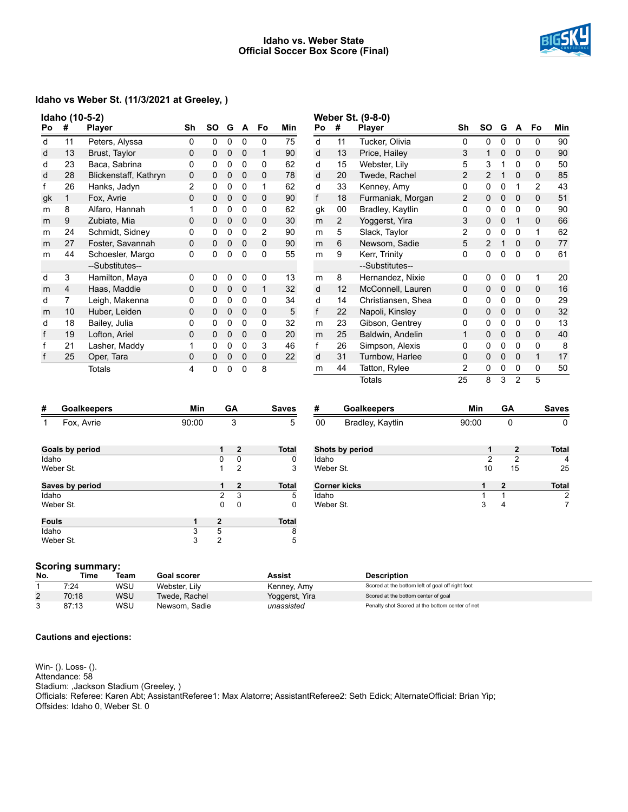#### **Idaho vs. Weber State Official Soccer Box Score (Final)**



# **Idaho vs Weber St. (11/3/2021 at Greeley, )**

| Idaho (10-5-2) |    |                       |    |              |   |   |    |     |
|----------------|----|-----------------------|----|--------------|---|---|----|-----|
| Po             | #  | Player                | Sh | SO           | G | А | Fo | Min |
| d              | 11 | Peters, Alyssa        | 0  | 0            | 0 | 0 | 0  | 75  |
| d              | 13 | Brust, Taylor         | 0  | 0            | 0 | 0 | 1  | 90  |
| d              | 23 | Baca, Sabrina         | 0  | 0            | 0 | 0 | 0  | 62  |
| d              | 28 | Blickenstaff, Kathryn | 0  | 0            | 0 | 0 | 0  | 78  |
| f              | 26 | Hanks, Jadyn          | 2  | 0            | 0 | 0 | 1  | 62  |
| gk             | 1  | Fox, Avrie            | 0  | 0            | 0 | 0 | 0  | 90  |
| m              | 8  | Alfaro, Hannah        | 1  | 0            | 0 | 0 | 0  | 62  |
| m              | 9  | Zubiate, Mia          | 0  | 0            | 0 | 0 | 0  | 30  |
| m              | 24 | Schmidt, Sidney       | 0  | 0            | 0 | 0 | 2  | 90  |
| m              | 27 | Foster, Savannah      | 0  | 0            | 0 | 0 | 0  | 90  |
| m              | 44 | Schoesler, Margo      | 0  | 0            | 0 | 0 | 0  | 55  |
|                |    | --Substitutes--       |    |              |   |   |    |     |
| d              | 3  | Hamilton, Maya        | 0  | 0            | 0 | 0 | 0  | 13  |
| m              | 4  | Haas, Maddie          | 0  | $\mathbf{0}$ | 0 | 0 | 1  | 32  |
| d              | 7  | Leigh, Makenna        | 0  | 0            | 0 | 0 | 0  | 34  |
| m              | 10 | Huber, Leiden         | 0  | 0            | 0 | 0 | 0  | 5   |
| d              | 18 | Bailey, Julia         | 0  | 0            | 0 | 0 | 0  | 32  |
| f              | 19 | Lofton, Ariel         | 0  | 0            | 0 | 0 | 0  | 20  |
| f              | 21 | Lasher, Maddy         | 1  | 0            | 0 | 0 | 3  | 46  |
| f              | 25 | Oper, Tara            | 0  | 0            | 0 | 0 | 0  | 22  |
|                |    | Totals                | 4  | 0            | 0 | 0 | 8  |     |

| Weber St. (9-8-0) |    |                    |    |                |   |                |    |     |
|-------------------|----|--------------------|----|----------------|---|----------------|----|-----|
| Po                | #  | <b>Player</b>      | Sh | SΟ             | G | A              | Fo | Min |
| d                 | 11 | Tucker, Olivia     | 0  | 0              | 0 | 0              | 0  | 90  |
| d                 | 13 | Price, Hailey      | 3  | 1              | 0 | 0              | 0  | 90  |
| d                 | 15 | Webster, Lily      | 5  | 3              | 1 | 0              | 0  | 50  |
| d                 | 20 | Twede, Rachel      | 2  | 2              | 1 | 0              | 0  | 85  |
| d                 | 33 | Kenney, Amy        | 0  | 0              | 0 | 1              | 2  | 43  |
| f                 | 18 | Furmaniak, Morgan  | 2  | 0              | 0 | 0              | 0  | 51  |
| gk                | 00 | Bradley, Kaytlin   | 0  | 0              | 0 | 0              | 0  | 90  |
| m                 | 2  | Yoggerst, Yira     | 3  | 0              | 0 | 1              | 0  | 66  |
| m                 | 5  | Slack, Taylor      | 2  | 0              | 0 | 0              | 1  | 62  |
| m                 | 6  | Newsom, Sadie      | 5  | $\mathfrak{p}$ | 1 | 0              | 0  | 77  |
| m                 | 9  | Kerr, Trinity      | 0  | 0              | 0 | 0              | 0  | 61  |
|                   |    | --Substitutes--    |    |                |   |                |    |     |
| m                 | 8  | Hernandez, Nixie   | 0  | 0              | 0 | 0              | 1  | 20  |
| d                 | 12 | McConnell, Lauren  | 0  | 0              | 0 | 0              | 0  | 16  |
| d                 | 14 | Christiansen, Shea | 0  | 0              | 0 | 0              | 0  | 29  |
| f                 | 22 | Napoli, Kinsley    | 0  | 0              | 0 | 0              | 0  | 32  |
| m                 | 23 | Gibson, Gentrey    | 0  | 0              | 0 | 0              | 0  | 13  |
| m                 | 25 | Baldwin, Andelin   | 1  | 0              | 0 | 0              | 0  | 40  |
| f                 | 26 | Simpson, Alexis    | 0  | 0              | 0 | 0              | 0  | 8   |
| d                 | 31 | Turnbow, Harlee    | 0  | 0              | 0 | 0              | 1  | 17  |
| m                 | 44 | Tatton, Rylee      | 2  | 0              | 0 | 0              | 0  | 50  |
|                   |    | Totals             | 25 | 8              | 3 | $\overline{2}$ | 5  |     |

| #            | <b>Goalkeepers</b> | Min   |                | GA             | <b>Saves</b> |
|--------------|--------------------|-------|----------------|----------------|--------------|
|              | Fox, Avrie         | 90:00 |                | 3              | 5            |
|              | Goals by period    |       | 1              | $\mathbf{2}$   | <b>Total</b> |
| Idaho        |                    |       | 0              | O              | 0            |
|              | Weber St.          |       | 1              | $\overline{2}$ | 3            |
|              | Saves by period    |       | 1              | $\mathbf{2}$   | <b>Total</b> |
| Idaho        |                    |       | 2              | 3              | 5            |
|              | Weber St.          |       | 0              | 0              | 0            |
| <b>Fouls</b> |                    | 1     | $\mathbf{2}$   |                | <b>Total</b> |
| Idaho        |                    | 3     | 5              |                | 8            |
|              | Weber St.          | 3     | $\overline{2}$ |                | 5            |

| #         | <b>Goalkeepers</b> | Min   | GА           | <b>Saves</b> |
|-----------|--------------------|-------|--------------|--------------|
| 00        | Bradley, Kaytlin   | 90:00 | 0            |              |
|           | Shots by period    | 1     | $\mathbf{2}$ | <b>Total</b> |
| Idaho     |                    | 2     | 2            | 4            |
| Weber St. |                    | 10    | 15           | 25           |
|           | Corner kicks       |       | $\mathbf 2$  | Total        |
| Idaho     |                    |       |              | 2            |
| Weber St. |                    | 3     | 4            |              |
|           |                    |       |              |              |

#### **Scoring summary:**

| No.        | Time  | Team       | Goal scorer   | Assist         | <b>Description</b>                               |
|------------|-------|------------|---------------|----------------|--------------------------------------------------|
|            | 7:24  | WSU        | Webster, Lily | Kenney, Amy    | Scored at the bottom left of goal off right foot |
| $\epsilon$ | 70:18 | <b>WSU</b> | Twede, Rachel | Yoggerst, Yira | Scored at the bottom center of goal              |
|            | 87:13 | <b>WSU</b> | Newsom, Sadie | unassisted     | Penalty shot Scored at the bottom center of net  |

#### **Cautions and ejections:**

Win- (). Loss- (). Attendance: 58 Stadium: ,Jackson Stadium (Greeley, ) Officials: Referee: Karen Abt; AssistantReferee1: Max Alatorre; AssistantReferee2: Seth Edick; AlternateOfficial: Brian Yip; Offsides: Idaho 0, Weber St. 0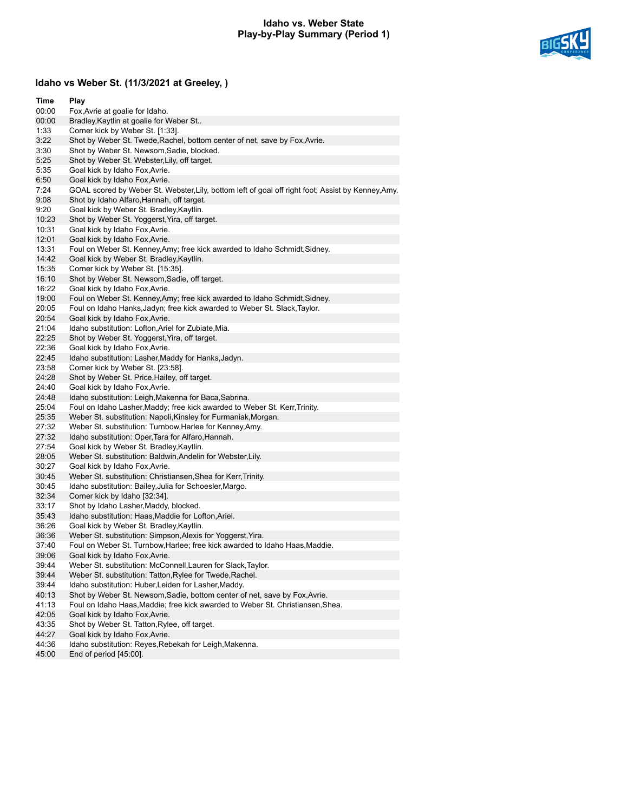## **Idaho vs. Weber State Play-by-Play Summary (Period 1)**



# **Idaho vs Weber St. (11/3/2021 at Greeley, )**

| Time  | Play                                                                                               |
|-------|----------------------------------------------------------------------------------------------------|
| 00:00 | Fox, Avrie at goalie for Idaho.                                                                    |
| 00:00 | Bradley, Kaytlin at goalie for Weber St                                                            |
| 1:33  | Corner kick by Weber St. [1:33].                                                                   |
| 3:22  | Shot by Weber St. Twede, Rachel, bottom center of net, save by Fox, Avrie.                         |
| 3:30  | Shot by Weber St. Newsom, Sadie, blocked.                                                          |
| 5:25  | Shot by Weber St. Webster, Lily, off target.                                                       |
| 5:35  | Goal kick by Idaho Fox, Avrie.                                                                     |
| 6:50  | Goal kick by Idaho Fox, Avrie.                                                                     |
| 7:24  | GOAL scored by Weber St. Webster, Lily, bottom left of goal off right foot; Assist by Kenney, Amy. |
| 9:08  | Shot by Idaho Alfaro, Hannah, off target.                                                          |
| 9:20  | Goal kick by Weber St. Bradley, Kaytlin.                                                           |
| 10:23 | Shot by Weber St. Yoggerst, Yira, off target.                                                      |
| 10:31 | Goal kick by Idaho Fox, Avrie.                                                                     |
| 12:01 | Goal kick by Idaho Fox, Avrie.                                                                     |
| 13:31 | Foul on Weber St. Kenney, Amy; free kick awarded to Idaho Schmidt, Sidney.                         |
| 14:42 | Goal kick by Weber St. Bradley, Kaytlin.                                                           |
| 15:35 | Corner kick by Weber St. [15:35].                                                                  |
| 16:10 | Shot by Weber St. Newsom, Sadie, off target.                                                       |
| 16:22 | Goal kick by Idaho Fox, Avrie.                                                                     |
| 19:00 | Foul on Weber St. Kenney, Amy; free kick awarded to Idaho Schmidt, Sidney.                         |
| 20:05 | Foul on Idaho Hanks, Jadyn; free kick awarded to Weber St. Slack, Taylor.                          |
| 20:54 | Goal kick by Idaho Fox, Avrie.                                                                     |
| 21:04 | Idaho substitution: Lofton, Ariel for Zubiate, Mia.                                                |
| 22:25 | Shot by Weber St. Yoggerst, Yira, off target.                                                      |
| 22:36 | Goal kick by Idaho Fox, Avrie.                                                                     |
| 22:45 | Idaho substitution: Lasher, Maddy for Hanks, Jadyn.                                                |
| 23:58 | Corner kick by Weber St. [23:58].                                                                  |
| 24:28 | Shot by Weber St. Price, Hailey, off target.                                                       |
| 24:40 | Goal kick by Idaho Fox, Avrie.                                                                     |
| 24:48 | Idaho substitution: Leigh, Makenna for Baca, Sabrina.                                              |
| 25:04 | Foul on Idaho Lasher, Maddy; free kick awarded to Weber St. Kerr, Trinity.                         |
| 25:35 | Weber St. substitution: Napoli, Kinsley for Furmaniak, Morgan.                                     |
| 27:32 | Weber St. substitution: Turnbow, Harlee for Kenney, Amy.                                           |
| 27:32 | Idaho substitution: Oper, Tara for Alfaro, Hannah.                                                 |
| 27:54 | Goal kick by Weber St. Bradley, Kaytlin.                                                           |
| 28:05 | Weber St. substitution: Baldwin, Andelin for Webster, Lily.                                        |
| 30:27 | Goal kick by Idaho Fox, Avrie.                                                                     |
| 30:45 | Weber St. substitution: Christiansen, Shea for Kerr, Trinity.                                      |
| 30:45 | Idaho substitution: Bailey, Julia for Schoesler, Margo.                                            |
| 32:34 | Corner kick by Idaho [32:34].                                                                      |
| 33:17 | Shot by Idaho Lasher, Maddy, blocked.                                                              |
| 35:43 | Idaho substitution: Haas, Maddie for Lofton, Ariel.                                                |
| 36:26 | Goal kick by Weber St. Bradley, Kaytlin.                                                           |
| 36:36 | Weber St. substitution: Simpson, Alexis for Yoggerst, Yira.                                        |
| 37:40 | Foul on Weber St. Turnbow, Harlee; free kick awarded to Idaho Haas, Maddie.                        |
| 39:06 | Goal kick by Idaho Fox, Avrie.                                                                     |
| 39:44 | Weber St. substitution: McConnell, Lauren for Slack, Taylor.                                       |
| 39:44 | Weber St. substitution: Tatton, Rylee for Twede, Rachel.                                           |
| 39:44 | Idaho substitution: Huber, Leiden for Lasher, Maddy.                                               |
| 40:13 | Shot by Weber St. Newsom, Sadie, bottom center of net, save by Fox, Avrie.                         |
| 41:13 | Foul on Idaho Haas, Maddie; free kick awarded to Weber St. Christiansen, Shea.                     |
| 42:05 | Goal kick by Idaho Fox, Avrie.                                                                     |
| 43:35 | Shot by Weber St. Tatton, Rylee, off target.                                                       |
| 44:27 | Goal kick by Idaho Fox, Avrie.                                                                     |
| 44:36 | Idaho substitution: Reyes, Rebekah for Leigh, Makenna.                                             |
| 45:00 | End of period [45:00].                                                                             |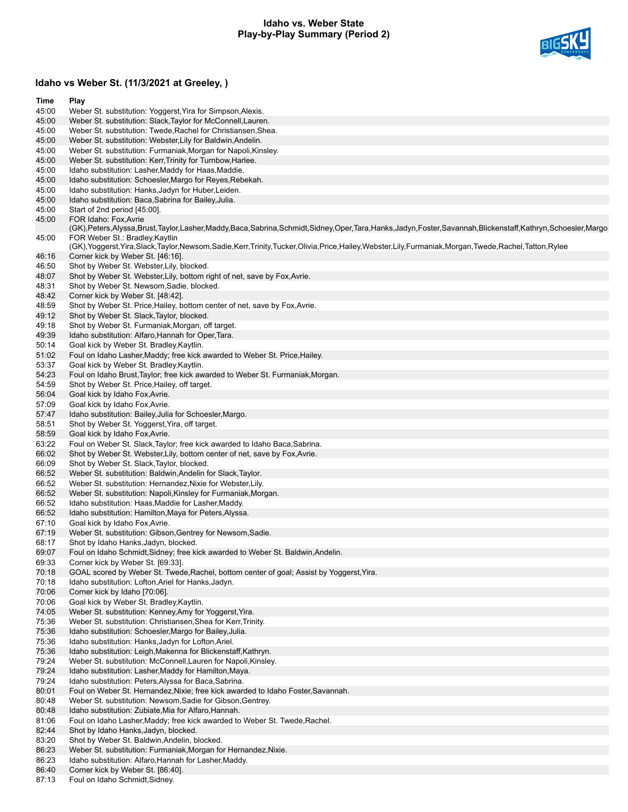## **Idaho vs. Weber State Play-by-Play Summary (Period 2)**



# **Idaho vs Weber St. (11/3/2021 at Greeley, )**

| Time           | Play                                                                                                                                                                                                |
|----------------|-----------------------------------------------------------------------------------------------------------------------------------------------------------------------------------------------------|
| 45:00          | Weber St. substitution: Yoggerst, Yira for Simpson, Alexis.                                                                                                                                         |
| 45:00          | Weber St. substitution: Slack, Taylor for McConnell, Lauren.                                                                                                                                        |
| 45:00          | Weber St. substitution: Twede, Rachel for Christiansen, Shea.                                                                                                                                       |
| 45:00          | Weber St. substitution: Webster, Lily for Baldwin, Andelin.                                                                                                                                         |
| 45:00          | Weber St. substitution: Furmaniak, Morgan for Napoli, Kinsley.                                                                                                                                      |
| 45:00          | Weber St. substitution: Kerr, Trinity for Turnbow, Harlee.                                                                                                                                          |
| 45:00          | Idaho substitution: Lasher, Maddy for Haas, Maddie.                                                                                                                                                 |
| 45:00          | Idaho substitution: Schoesler, Margo for Reyes, Rebekah.                                                                                                                                            |
| 45:00<br>45:00 | Idaho substitution: Hanks, Jadyn for Huber, Leiden.<br>Idaho substitution: Baca, Sabrina for Bailey, Julia.                                                                                         |
| 45:00          | Start of 2nd period [45:00].                                                                                                                                                                        |
| 45:00          | FOR Idaho: Fox, Avrie                                                                                                                                                                               |
|                | (GK),Peters,Alyssa,Brust,Taylor,Lasher,Maddy,Baca,Sabrina,Schmidt,Sidney,Oper,Tara,Hanks,Jadyn,Foster,Savannah,Blickenstaff,Kathryn,Schoesler,Margo                                                 |
| 45:00          | FOR Weber St.: Bradley, Kaytlin<br>(GK), Yoggerst, Yira, Slack, Taylor, Newsom, Sadie, Kerr, Trinity, Tucker, Olivia, Price, Hailey, Webster, Lily, Furmaniak, Morgan, Twede, Rachel, Tatton, Rylee |
| 46:16          | Corner kick by Weber St. [46:16].                                                                                                                                                                   |
| 46:50          | Shot by Weber St. Webster, Lily, blocked.                                                                                                                                                           |
| 48:07          | Shot by Weber St. Webster, Lily, bottom right of net, save by Fox, Avrie.                                                                                                                           |
| 48:31          | Shot by Weber St. Newsom, Sadie, blocked.                                                                                                                                                           |
| 48:42          | Corner kick by Weber St. [48:42].                                                                                                                                                                   |
| 48:59          | Shot by Weber St. Price, Hailey, bottom center of net, save by Fox, Avrie.                                                                                                                          |
| 49:12          | Shot by Weber St. Slack, Taylor, blocked.                                                                                                                                                           |
| 49:18          | Shot by Weber St. Furmaniak, Morgan, off target.                                                                                                                                                    |
| 49:39          | Idaho substitution: Alfaro, Hannah for Oper, Tara.                                                                                                                                                  |
| 50:14          | Goal kick by Weber St. Bradley, Kaytlin.                                                                                                                                                            |
| 51:02          | Foul on Idaho Lasher, Maddy; free kick awarded to Weber St. Price, Hailey.                                                                                                                          |
| 53:37          | Goal kick by Weber St. Bradley, Kaytlin.                                                                                                                                                            |
| 54:23          | Foul on Idaho Brust, Taylor; free kick awarded to Weber St. Furmaniak, Morgan.<br>Shot by Weber St. Price, Hailey, off target.                                                                      |
| 54:59<br>56:04 | Goal kick by Idaho Fox, Avrie.                                                                                                                                                                      |
| 57:09          | Goal kick by Idaho Fox, Avrie.                                                                                                                                                                      |
| 57:47          | Idaho substitution: Bailey, Julia for Schoesler, Margo.                                                                                                                                             |
| 58:51          | Shot by Weber St. Yoggerst, Yira, off target.                                                                                                                                                       |
| 58:59          | Goal kick by Idaho Fox, Avrie.                                                                                                                                                                      |
| 63:22          | Foul on Weber St. Slack, Taylor; free kick awarded to Idaho Baca, Sabrina.                                                                                                                          |
| 66:02          | Shot by Weber St. Webster, Lily, bottom center of net, save by Fox, Avrie.                                                                                                                          |
| 66:09          | Shot by Weber St. Slack, Taylor, blocked.                                                                                                                                                           |
| 66:52          | Weber St. substitution: Baldwin, Andelin for Slack, Taylor.                                                                                                                                         |
| 66:52          | Weber St. substitution: Hernandez, Nixie for Webster, Lily.                                                                                                                                         |
| 66:52          | Weber St. substitution: Napoli, Kinsley for Furmaniak, Morgan.                                                                                                                                      |
| 66:52          | Idaho substitution: Haas, Maddie for Lasher, Maddy.                                                                                                                                                 |
| 66:52          | Idaho substitution: Hamilton, Maya for Peters, Alyssa.                                                                                                                                              |
| 67:10          | Goal kick by Idaho Fox, Avrie.                                                                                                                                                                      |
| 67:19<br>68:17 | Weber St. substitution: Gibson, Gentrey for Newsom, Sadie.<br>Shot by Idaho Hanks, Jadyn, blocked.                                                                                                  |
| 69:07          | Foul on Idaho Schmidt, Sidney; free kick awarded to Weber St. Baldwin, Andelin.                                                                                                                     |
| 69:33          | Corner kick by Weber St. [69:33].                                                                                                                                                                   |
| 70:18          | GOAL scored by Weber St. Twede, Rachel, bottom center of goal; Assist by Yoggerst, Yira.                                                                                                            |
| 70:18          | Idaho substitution: Lofton, Ariel for Hanks, Jadyn.                                                                                                                                                 |
| 70:06          | Corner kick by Idaho [70:06].                                                                                                                                                                       |
| 70:06          | Goal kick by Weber St. Bradley, Kaytlin.                                                                                                                                                            |
| 74:05          | Weber St. substitution: Kenney, Amy for Yoggerst, Yira.                                                                                                                                             |
| 75:36          | Weber St. substitution: Christiansen, Shea for Kerr, Trinity.                                                                                                                                       |
| 75:36          | Idaho substitution: Schoesler, Margo for Bailey, Julia.                                                                                                                                             |
| 75:36          | Idaho substitution: Hanks, Jadyn for Lofton, Ariel.                                                                                                                                                 |
| 75:36          | Idaho substitution: Leigh, Makenna for Blickenstaff, Kathryn.                                                                                                                                       |
| 79:24          | Weber St. substitution: McConnell, Lauren for Napoli, Kinsley.                                                                                                                                      |
| 79:24          | Idaho substitution: Lasher, Maddy for Hamilton, Maya.                                                                                                                                               |
| 79:24<br>80:01 | Idaho substitution: Peters, Alyssa for Baca, Sabrina.<br>Foul on Weber St. Hernandez, Nixie; free kick awarded to Idaho Foster, Savannah.                                                           |
| 80:48          | Weber St. substitution: Newsom, Sadie for Gibson, Gentrey.                                                                                                                                          |
| 80:48          | Idaho substitution: Zubiate, Mia for Alfaro, Hannah.                                                                                                                                                |
| 81:06          | Foul on Idaho Lasher, Maddy; free kick awarded to Weber St. Twede, Rachel.                                                                                                                          |
| 82:44          | Shot by Idaho Hanks, Jadyn, blocked.                                                                                                                                                                |
| 83:20          | Shot by Weber St. Baldwin, Andelin, blocked.                                                                                                                                                        |
| 86:23          | Weber St. substitution: Furmaniak, Morgan for Hernandez, Nixie.                                                                                                                                     |
| 86:23          | Idaho substitution: Alfaro, Hannah for Lasher, Maddy.                                                                                                                                               |
| 86:40          | Corner kick by Weber St. [86:40].                                                                                                                                                                   |

87:13 Foul on Idaho Schmidt,Sidney.